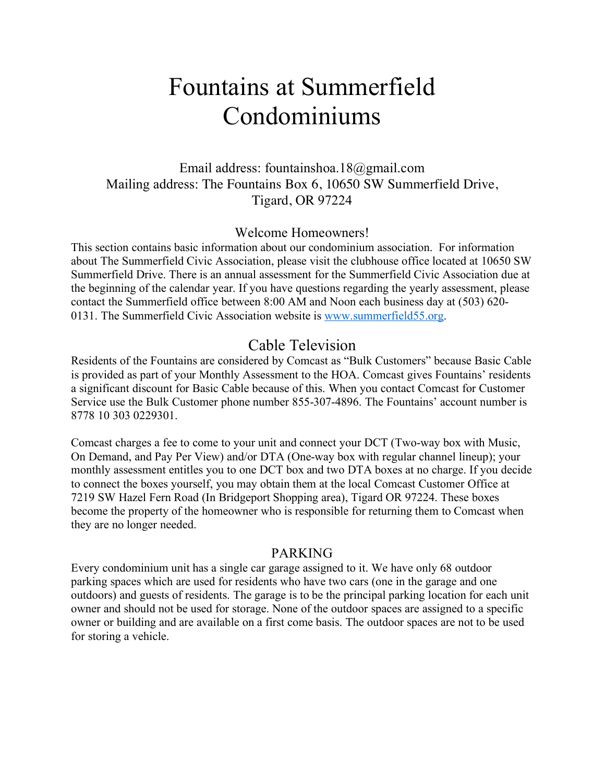# Fountains at Summerfield Condominiums

# Email address: fountainshoa.18@gmail.com Mailing address: The Fountains Box 6, 10650 SW Summerfield Drive, Tigard, OR 97224

#### Welcome Homeowners!

This section contains basic information about our condominium association. For information about The Summerfield Civic Association, please visit the clubhouse office located at 10650 SW Summerfield Drive. There is an annual assessment for the Summerfield Civic Association due at the beginning of the calendar year. If you have questions regarding the yearly assessment, please contact the Summerfield office between 8:00 AM and Noon each business day at (503) 620- 0131. The Summerfield Civic Association website is www.summerfield55.org.

# Cable Television

Residents of the Fountains are considered by Comcast as "Bulk Customers" because Basic Cable is provided as part of your Monthly Assessment to the HOA. Comcast gives Fountains' residents a significant discount for Basic Cable because of this. When you contact Comcast for Customer Service use the Bulk Customer phone number 855-307-4896. The Fountains' account number is 8778 10 303 0229301.

Comcast charges a fee to come to your unit and connect your DCT (Two-way box with Music, On Demand, and Pay Per View) and/or DTA (One-way box with regular channel lineup); your monthly assessment entitles you to one DCT box and two DTA boxes at no charge. If you decide to connect the boxes yourself, you may obtain them at the local Comcast Customer Office at 7219 SW Hazel Fern Road (In Bridgeport Shopping area), Tigard OR 97224. These boxes become the property of the homeowner who is responsible for returning them to Comcast when they are no longer needed.

#### PARKING

Every condominium unit has a single car garage assigned to it. We have only 68 outdoor parking spaces which are used for residents who have two cars (one in the garage and one outdoors) and guests of residents. The garage is to be the principal parking location for each unit owner and should not be used for storage. None of the outdoor spaces are assigned to a specific owner or building and are available on a first come basis. The outdoor spaces are not to be used for storing a vehicle.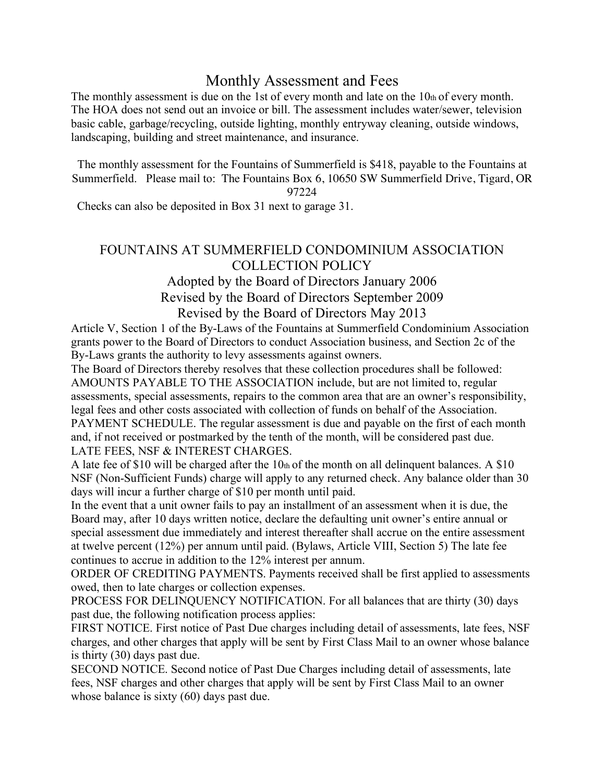# Monthly Assessment and Fees

The monthly assessment is due on the 1st of every month and late on the 10th of every month. The HOA does not send out an invoice or bill. The assessment includes water/sewer, television basic cable, garbage/recycling, outside lighting, monthly entryway cleaning, outside windows, landscaping, building and street maintenance, and insurance.

The monthly assessment for the Fountains of Summerfield is \$418, payable to the Fountains at Summerfield. Please mail to: The Fountains Box 6, 10650 SW Summerfield Drive, Tigard, OR

97224

Checks can also be deposited in Box 31 next to garage 31.

## FOUNTAINS AT SUMMERFIELD CONDOMINIUM ASSOCIATION COLLECTION POLICY

# Adopted by the Board of Directors January 2006 Revised by the Board of Directors September 2009 Revised by the Board of Directors May 2013

Article V, Section 1 of the By-Laws of the Fountains at Summerfield Condominium Association grants power to the Board of Directors to conduct Association business, and Section 2c of the By-Laws grants the authority to levy assessments against owners.

The Board of Directors thereby resolves that these collection procedures shall be followed: AMOUNTS PAYABLE TO THE ASSOCIATION include, but are not limited to, regular assessments, special assessments, repairs to the common area that are an owner's responsibility, legal fees and other costs associated with collection of funds on behalf of the Association. PAYMENT SCHEDULE. The regular assessment is due and payable on the first of each month and, if not received or postmarked by the tenth of the month, will be considered past due. LATE FEES, NSF & INTEREST CHARGES.

A late fee of \$10 will be charged after the 10th of the month on all delinquent balances. A \$10 NSF (Non-Sufficient Funds) charge will apply to any returned check. Any balance older than 30 days will incur a further charge of \$10 per month until paid.

In the event that a unit owner fails to pay an installment of an assessment when it is due, the Board may, after 10 days written notice, declare the defaulting unit owner's entire annual or special assessment due immediately and interest thereafter shall accrue on the entire assessment at twelve percent (12%) per annum until paid. (Bylaws, Article VIII, Section 5) The late fee continues to accrue in addition to the 12% interest per annum.

ORDER OF CREDITING PAYMENTS. Payments received shall be first applied to assessments owed, then to late charges or collection expenses.

PROCESS FOR DELINQUENCY NOTIFICATION. For all balances that are thirty (30) days past due, the following notification process applies:

FIRST NOTICE. First notice of Past Due charges including detail of assessments, late fees, NSF charges, and other charges that apply will be sent by First Class Mail to an owner whose balance is thirty (30) days past due.

SECOND NOTICE. Second notice of Past Due Charges including detail of assessments, late fees, NSF charges and other charges that apply will be sent by First Class Mail to an owner whose balance is sixty (60) days past due.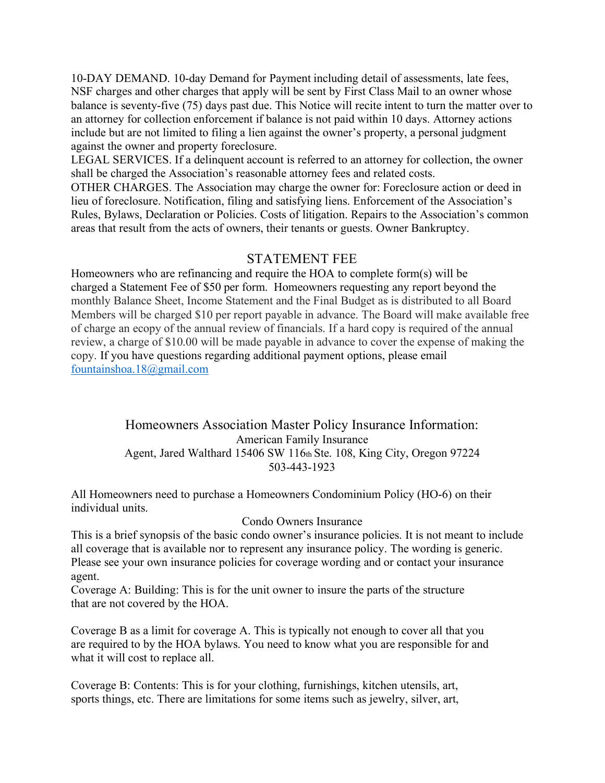10-DAY DEMAND. 10-day Demand for Payment including detail of assessments, late fees, NSF charges and other charges that apply will be sent by First Class Mail to an owner whose balance is seventy-five (75) days past due. This Notice will recite intent to turn the matter over to an attorney for collection enforcement if balance is not paid within 10 days. Attorney actions include but are not limited to filing a lien against the owner's property, a personal judgment against the owner and property foreclosure.

LEGAL SERVICES. If a delinquent account is referred to an attorney for collection, the owner shall be charged the Association's reasonable attorney fees and related costs.

OTHER CHARGES. The Association may charge the owner for: Foreclosure action or deed in lieu of foreclosure. Notification, filing and satisfying liens. Enforcement of the Association's Rules, Bylaws, Declaration or Policies. Costs of litigation. Repairs to the Association's common areas that result from the acts of owners, their tenants or guests. Owner Bankruptcy.

#### STATEMENT FEE

Homeowners who are refinancing and require the HOA to complete form(s) will be charged a Statement Fee of \$50 per form. Homeowners requesting any report beyond the monthly Balance Sheet, Income Statement and the Final Budget as is distributed to all Board Members will be charged \$10 per report payable in advance. The Board will make available free of charge an ecopy of the annual review of financials. If a hard copy is required of the annual review, a charge of \$10.00 will be made payable in advance to cover the expense of making the copy. If you have questions regarding additional payment options, please email fountainshoa.18@gmail.com

> Homeowners Association Master Policy Insurance Information: American Family Insurance Agent, Jared Walthard 15406 SW 116th Ste. 108, King City, Oregon 97224 503-443-1923

All Homeowners need to purchase a Homeowners Condominium Policy (HO-6) on their individual units.

#### Condo Owners Insurance

This is a brief synopsis of the basic condo owner's insurance policies. It is not meant to include all coverage that is available nor to represent any insurance policy. The wording is generic. Please see your own insurance policies for coverage wording and or contact your insurance agent.

Coverage A: Building: This is for the unit owner to insure the parts of the structure that are not covered by the HOA.

Coverage B as a limit for coverage A. This is typically not enough to cover all that you are required to by the HOA bylaws. You need to know what you are responsible for and what it will cost to replace all.

Coverage B: Contents: This is for your clothing, furnishings, kitchen utensils, art, sports things, etc. There are limitations for some items such as jewelry, silver, art,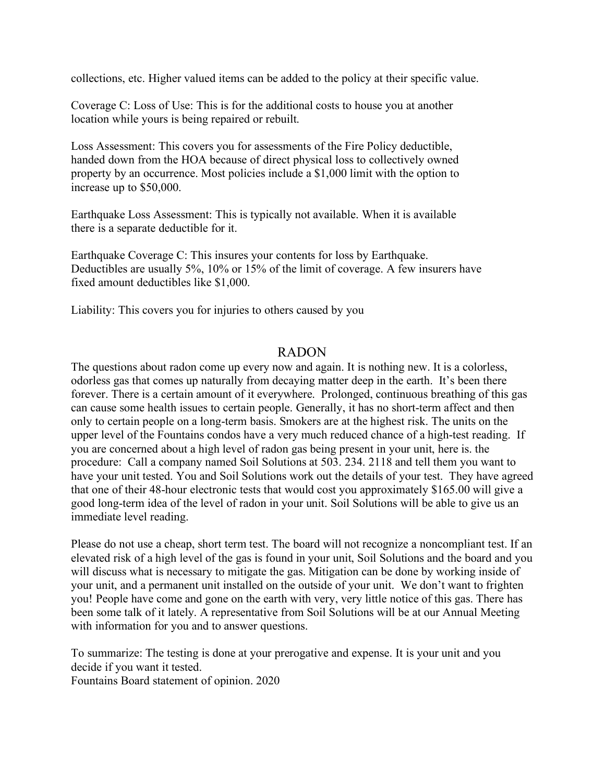collections, etc. Higher valued items can be added to the policy at their specific value.

Coverage C: Loss of Use: This is for the additional costs to house you at another location while yours is being repaired or rebuilt.

Loss Assessment: This covers you for assessments of the Fire Policy deductible, handed down from the HOA because of direct physical loss to collectively owned property by an occurrence. Most policies include a \$1,000 limit with the option to increase up to \$50,000.

Earthquake Loss Assessment: This is typically not available. When it is available there is a separate deductible for it.

Earthquake Coverage C: This insures your contents for loss by Earthquake. Deductibles are usually 5%, 10% or 15% of the limit of coverage. A few insurers have fixed amount deductibles like \$1,000.

Liability: This covers you for injuries to others caused by you

#### RADON

The questions about radon come up every now and again. It is nothing new. It is a colorless, odorless gas that comes up naturally from decaying matter deep in the earth. It's been there forever. There is a certain amount of it everywhere. Prolonged, continuous breathing of this gas can cause some health issues to certain people. Generally, it has no short-term affect and then only to certain people on a long-term basis. Smokers are at the highest risk. The units on the upper level of the Fountains condos have a very much reduced chance of a high-test reading. If you are concerned about a high level of radon gas being present in your unit, here is. the procedure: Call a company named Soil Solutions at 503. 234. 2118 and tell them you want to have your unit tested. You and Soil Solutions work out the details of your test. They have agreed that one of their 48-hour electronic tests that would cost you approximately \$165.00 will give a good long-term idea of the level of radon in your unit. Soil Solutions will be able to give us an immediate level reading.

Please do not use a cheap, short term test. The board will not recognize a noncompliant test. If an elevated risk of a high level of the gas is found in your unit, Soil Solutions and the board and you will discuss what is necessary to mitigate the gas. Mitigation can be done by working inside of your unit, and a permanent unit installed on the outside of your unit. We don't want to frighten you! People have come and gone on the earth with very, very little notice of this gas. There has been some talk of it lately. A representative from Soil Solutions will be at our Annual Meeting with information for you and to answer questions.

To summarize: The testing is done at your prerogative and expense. It is your unit and you decide if you want it tested.

Fountains Board statement of opinion. 2020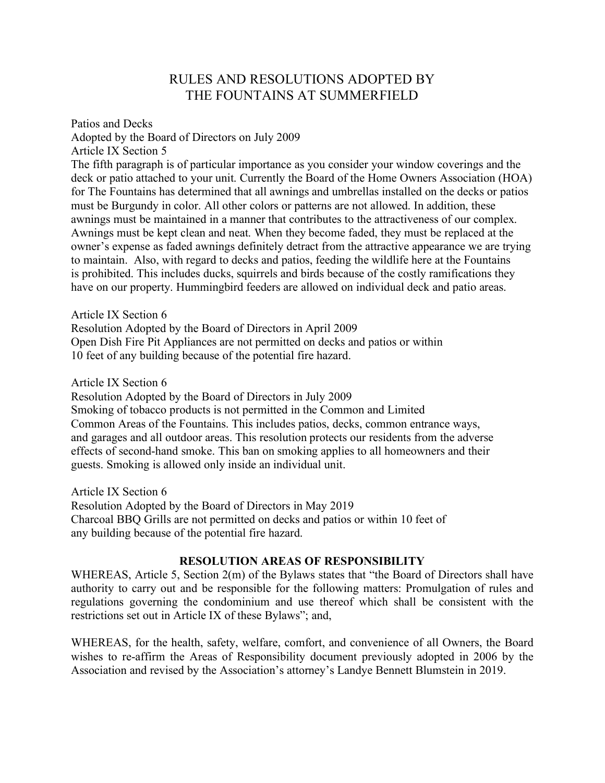# RULES AND RESOLUTIONS ADOPTED BY THE FOUNTAINS AT SUMMERFIELD

Patios and Decks Adopted by the Board of Directors on July 2009 Article IX Section 5 The fifth paragraph is of particular importance as you consider your window coverings and the deck or patio attached to your unit. Currently the Board of the Home Owners Association (HOA) for The Fountains has determined that all awnings and umbrellas installed on the decks or patios must be Burgundy in color. All other colors or patterns are not allowed. In addition, these awnings must be maintained in a manner that contributes to the attractiveness of our complex. Awnings must be kept clean and neat. When they become faded, they must be replaced at the owner's expense as faded awnings definitely detract from the attractive appearance we are trying to maintain. Also, with regard to decks and patios, feeding the wildlife here at the Fountains is prohibited. This includes ducks, squirrels and birds because of the costly ramifications they have on our property. Hummingbird feeders are allowed on individual deck and patio areas.

Article IX Section 6 Resolution Adopted by the Board of Directors in April 2009 Open Dish Fire Pit Appliances are not permitted on decks and patios or within 10 feet of any building because of the potential fire hazard.

Article IX Section 6

Resolution Adopted by the Board of Directors in July 2009 Smoking of tobacco products is not permitted in the Common and Limited Common Areas of the Fountains. This includes patios, decks, common entrance ways, and garages and all outdoor areas. This resolution protects our residents from the adverse effects of second-hand smoke. This ban on smoking applies to all homeowners and their guests. Smoking is allowed only inside an individual unit.

Article IX Section 6 Resolution Adopted by the Board of Directors in May 2019 Charcoal BBQ Grills are not permitted on decks and patios or within 10 feet of any building because of the potential fire hazard.

#### **RESOLUTION AREAS OF RESPONSIBILITY**

WHEREAS, Article 5, Section 2(m) of the Bylaws states that "the Board of Directors shall have authority to carry out and be responsible for the following matters: Promulgation of rules and regulations governing the condominium and use thereof which shall be consistent with the restrictions set out in Article IX of these Bylaws"; and,

WHEREAS, for the health, safety, welfare, comfort, and convenience of all Owners, the Board wishes to re-affirm the Areas of Responsibility document previously adopted in 2006 by the Association and revised by the Association's attorney's Landye Bennett Blumstein in 2019.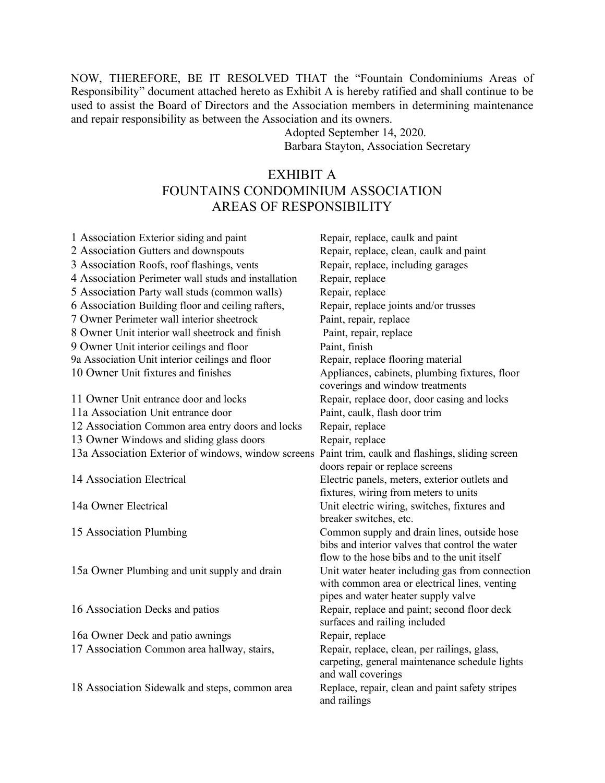NOW, THEREFORE, BE IT RESOLVED THAT the "Fountain Condominiums Areas of Responsibility" document attached hereto as Exhibit A is hereby ratified and shall continue to be used to assist the Board of Directors and the Association members in determining maintenance and repair responsibility as between the Association and its owners.

Adopted September 14, 2020. Barbara Stayton, Association Secretary

# EXHIBIT A FOUNTAINS CONDOMINIUM ASSOCIATION AREAS OF RESPONSIBILITY

| 1 Association Exterior siding and paint                                                             | Repair, replace, caulk and paint                |
|-----------------------------------------------------------------------------------------------------|-------------------------------------------------|
| 2 Association Gutters and downspouts                                                                | Repair, replace, clean, caulk and paint         |
| 3 Association Roofs, roof flashings, vents                                                          | Repair, replace, including garages              |
| 4 Association Perimeter wall studs and installation                                                 | Repair, replace                                 |
| 5 Association Party wall studs (common walls)                                                       | Repair, replace                                 |
| 6 Association Building floor and ceiling rafters,                                                   | Repair, replace joints and/or trusses           |
| 7 Owner Perimeter wall interior sheetrock                                                           | Paint, repair, replace                          |
| 8 Owner Unit interior wall sheetrock and finish                                                     | Paint, repair, replace                          |
| 9 Owner Unit interior ceilings and floor                                                            | Paint, finish                                   |
| 9a Association Unit interior ceilings and floor                                                     | Repair, replace flooring material               |
| 10 Owner Unit fixtures and finishes                                                                 | Appliances, cabinets, plumbing fixtures, floor  |
|                                                                                                     | coverings and window treatments                 |
| 11 Owner Unit entrance door and locks                                                               | Repair, replace door, door casing and locks     |
| 11a Association Unit entrance door                                                                  | Paint, caulk, flash door trim                   |
| 12 Association Common area entry doors and locks                                                    | Repair, replace                                 |
| 13 Owner Windows and sliding glass doors                                                            | Repair, replace                                 |
| 13a Association Exterior of windows, window screens Paint trim, caulk and flashings, sliding screen |                                                 |
|                                                                                                     | doors repair or replace screens                 |
| 14 Association Electrical                                                                           | Electric panels, meters, exterior outlets and   |
|                                                                                                     | fixtures, wiring from meters to units           |
| 14a Owner Electrical                                                                                | Unit electric wiring, switches, fixtures and    |
|                                                                                                     | breaker switches, etc.                          |
| 15 Association Plumbing                                                                             | Common supply and drain lines, outside hose     |
|                                                                                                     | bibs and interior valves that control the water |
|                                                                                                     | flow to the hose bibs and to the unit itself    |
| 15a Owner Plumbing and unit supply and drain                                                        | Unit water heater including gas from connection |
|                                                                                                     | with common area or electrical lines, venting   |
|                                                                                                     | pipes and water heater supply valve             |
| 16 Association Decks and patios                                                                     | Repair, replace and paint; second floor deck    |
|                                                                                                     | surfaces and railing included                   |
| 16a Owner Deck and patio awnings                                                                    | Repair, replace                                 |
| 17 Association Common area hallway, stairs,                                                         | Repair, replace, clean, per railings, glass,    |
|                                                                                                     | carpeting, general maintenance schedule lights  |
|                                                                                                     | and wall coverings                              |
| 18 Association Sidewalk and steps, common area                                                      | Replace, repair, clean and paint safety stripes |
|                                                                                                     | and railings                                    |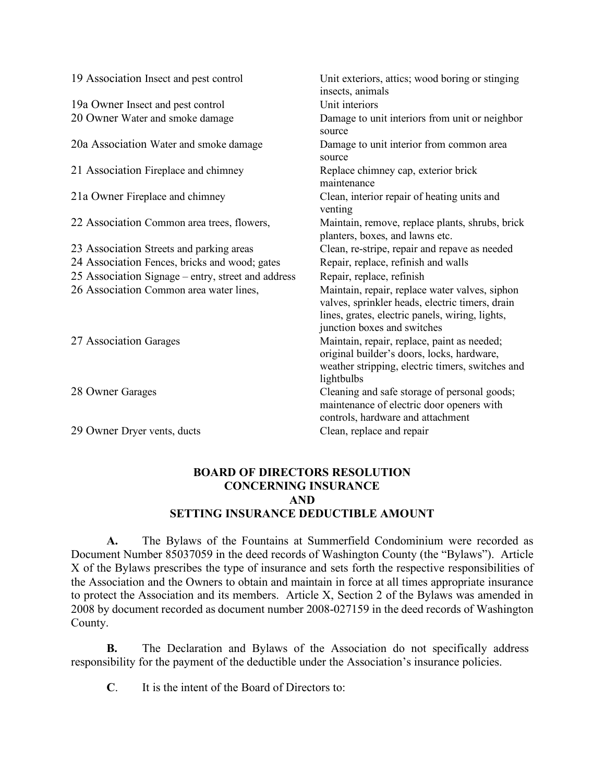| 19 Association Insect and pest control             | Unit exteriors, attics; wood boring or stinging<br>insects, animals                                                                                                                 |
|----------------------------------------------------|-------------------------------------------------------------------------------------------------------------------------------------------------------------------------------------|
| 19a Owner Insect and pest control                  | Unit interiors                                                                                                                                                                      |
| 20 Owner Water and smoke damage                    | Damage to unit interiors from unit or neighbor<br>source                                                                                                                            |
| 20a Association Water and smoke damage             | Damage to unit interior from common area<br>source                                                                                                                                  |
| 21 Association Fireplace and chimney               | Replace chimney cap, exterior brick<br>maintenance                                                                                                                                  |
| 21a Owner Fireplace and chimney                    | Clean, interior repair of heating units and<br>venting                                                                                                                              |
| 22 Association Common area trees, flowers,         | Maintain, remove, replace plants, shrubs, brick<br>planters, boxes, and lawns etc.                                                                                                  |
| 23 Association Streets and parking areas           | Clean, re-stripe, repair and repave as needed                                                                                                                                       |
| 24 Association Fences, bricks and wood; gates      | Repair, replace, refinish and walls                                                                                                                                                 |
| 25 Association Signage – entry, street and address | Repair, replace, refinish                                                                                                                                                           |
| 26 Association Common area water lines,            | Maintain, repair, replace water valves, siphon<br>valves, sprinkler heads, electric timers, drain<br>lines, grates, electric panels, wiring, lights,<br>junction boxes and switches |
| 27 Association Garages                             | Maintain, repair, replace, paint as needed;<br>original builder's doors, locks, hardware,<br>weather stripping, electric timers, switches and<br>lightbulbs                         |
| 28 Owner Garages                                   | Cleaning and safe storage of personal goods;<br>maintenance of electric door openers with<br>controls, hardware and attachment                                                      |
| 29 Owner Dryer vents, ducts                        | Clean, replace and repair                                                                                                                                                           |

#### **BOARD OF DIRECTORS RESOLUTION CONCERNING INSURANCE AND SETTING INSURANCE DEDUCTIBLE AMOUNT**

**A.** The Bylaws of the Fountains at Summerfield Condominium were recorded as Document Number 85037059 in the deed records of Washington County (the "Bylaws"). Article X of the Bylaws prescribes the type of insurance and sets forth the respective responsibilities of the Association and the Owners to obtain and maintain in force at all times appropriate insurance to protect the Association and its members. Article X, Section 2 of the Bylaws was amended in 2008 by document recorded as document number 2008-027159 in the deed records of Washington County.

**B.** The Declaration and Bylaws of the Association do not specifically address responsibility for the payment of the deductible under the Association's insurance policies.

**C**. It is the intent of the Board of Directors to: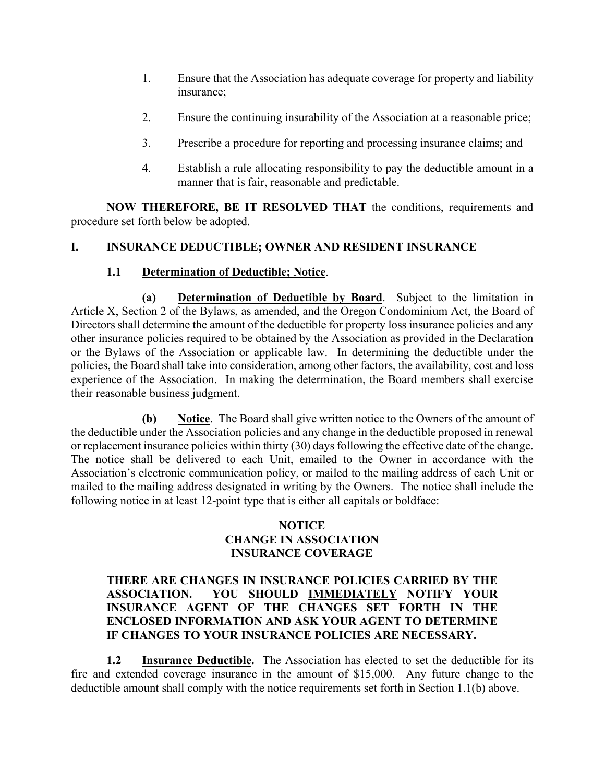- 1. Ensure that the Association has adequate coverage for property and liability insurance;
- 2. Ensure the continuing insurability of the Association at a reasonable price;
- 3. Prescribe a procedure for reporting and processing insurance claims; and
- 4. Establish a rule allocating responsibility to pay the deductible amount in a manner that is fair, reasonable and predictable.

**NOW THEREFORE, BE IT RESOLVED THAT** the conditions, requirements and procedure set forth below be adopted.

## **I. INSURANCE DEDUCTIBLE; OWNER AND RESIDENT INSURANCE**

#### **1.1 Determination of Deductible; Notice**.

**(a) Determination of Deductible by Board**. Subject to the limitation in Article X, Section 2 of the Bylaws, as amended, and the Oregon Condominium Act, the Board of Directors shall determine the amount of the deductible for property loss insurance policies and any other insurance policies required to be obtained by the Association as provided in the Declaration or the Bylaws of the Association or applicable law. In determining the deductible under the policies, the Board shall take into consideration, among other factors, the availability, cost and loss experience of the Association. In making the determination, the Board members shall exercise their reasonable business judgment.

**(b) Notice**. The Board shall give written notice to the Owners of the amount of the deductible under the Association policies and any change in the deductible proposed in renewal or replacement insurance policies within thirty (30) days following the effective date of the change. The notice shall be delivered to each Unit, emailed to the Owner in accordance with the Association's electronic communication policy, or mailed to the mailing address of each Unit or mailed to the mailing address designated in writing by the Owners. The notice shall include the following notice in at least 12-point type that is either all capitals or boldface:

#### **NOTICE CHANGE IN ASSOCIATION INSURANCE COVERAGE**

#### **THERE ARE CHANGES IN INSURANCE POLICIES CARRIED BY THE ASSOCIATION. YOU SHOULD IMMEDIATELY NOTIFY YOUR INSURANCE AGENT OF THE CHANGES SET FORTH IN THE ENCLOSED INFORMATION AND ASK YOUR AGENT TO DETERMINE IF CHANGES TO YOUR INSURANCE POLICIES ARE NECESSARY.**

**1.2 Insurance Deductible.** The Association has elected to set the deductible for its fire and extended coverage insurance in the amount of \$15,000. Any future change to the deductible amount shall comply with the notice requirements set forth in Section 1.1(b) above.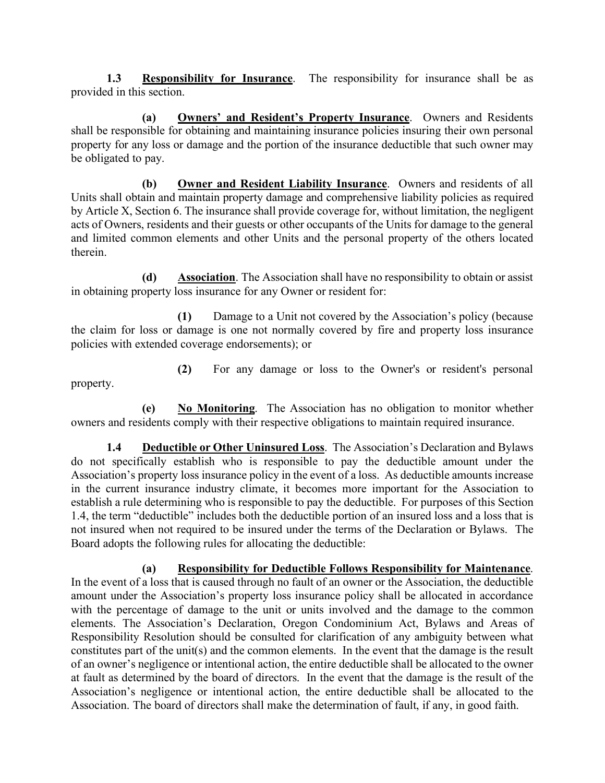**1.3 Responsibility for Insurance**. The responsibility for insurance shall be as provided in this section.

**(a) Owners' and Resident's Property Insurance**. Owners and Residents shall be responsible for obtaining and maintaining insurance policies insuring their own personal property for any loss or damage and the portion of the insurance deductible that such owner may be obligated to pay.

**(b) Owner and Resident Liability Insurance**. Owners and residents of all Units shall obtain and maintain property damage and comprehensive liability policies as required by Article X, Section 6. The insurance shall provide coverage for, without limitation, the negligent acts of Owners, residents and their guests or other occupants of the Units for damage to the general and limited common elements and other Units and the personal property of the others located therein.

**(d) Association**. The Association shall have no responsibility to obtain or assist in obtaining property loss insurance for any Owner or resident for:

**(1)** Damage to a Unit not covered by the Association's policy (because the claim for loss or damage is one not normally covered by fire and property loss insurance policies with extended coverage endorsements); or

**(2)** For any damage or loss to the Owner's or resident's personal property.

**(e) No Monitoring**. The Association has no obligation to monitor whether owners and residents comply with their respective obligations to maintain required insurance.

**1.4 Deductible or Other Uninsured Loss**. The Association's Declaration and Bylaws do not specifically establish who is responsible to pay the deductible amount under the Association's property loss insurance policy in the event of a loss. As deductible amounts increase in the current insurance industry climate, it becomes more important for the Association to establish a rule determining who is responsible to pay the deductible. For purposes of this Section 1.4, the term "deductible" includes both the deductible portion of an insured loss and a loss that is not insured when not required to be insured under the terms of the Declaration or Bylaws. The Board adopts the following rules for allocating the deductible:

**(a) Responsibility for Deductible Follows Responsibility for Maintenance**. In the event of a loss that is caused through no fault of an owner or the Association, the deductible amount under the Association's property loss insurance policy shall be allocated in accordance with the percentage of damage to the unit or units involved and the damage to the common elements. The Association's Declaration, Oregon Condominium Act, Bylaws and Areas of Responsibility Resolution should be consulted for clarification of any ambiguity between what constitutes part of the unit(s) and the common elements. In the event that the damage is the result of an owner's negligence or intentional action, the entire deductible shall be allocated to the owner at fault as determined by the board of directors. In the event that the damage is the result of the Association's negligence or intentional action, the entire deductible shall be allocated to the Association. The board of directors shall make the determination of fault, if any, in good faith.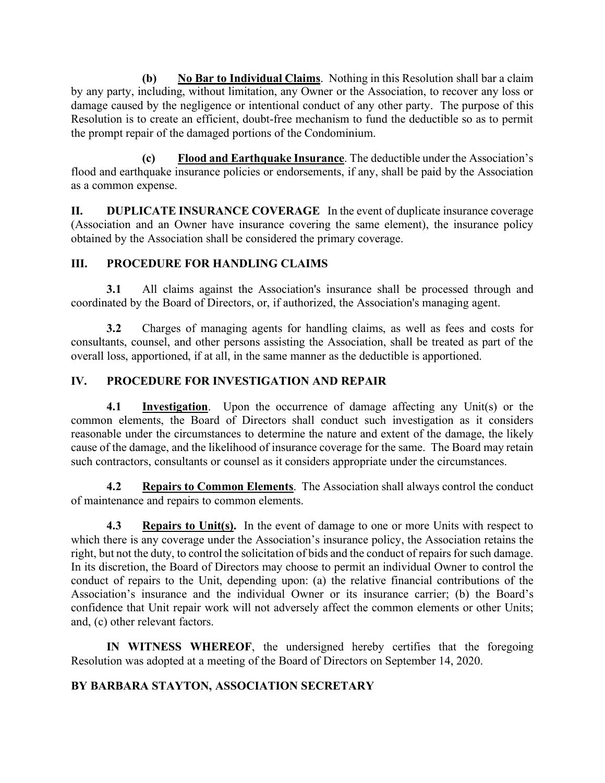**(b) No Bar to Individual Claims**. Nothing in this Resolution shall bar a claim by any party, including, without limitation, any Owner or the Association, to recover any loss or damage caused by the negligence or intentional conduct of any other party. The purpose of this Resolution is to create an efficient, doubt-free mechanism to fund the deductible so as to permit the prompt repair of the damaged portions of the Condominium.

**(c) Flood and Earthquake Insurance**. The deductible under the Association's flood and earthquake insurance policies or endorsements, if any, shall be paid by the Association as a common expense.

**II. DUPLICATE INSURANCE COVERAGE** In the event of duplicate insurance coverage (Association and an Owner have insurance covering the same element), the insurance policy obtained by the Association shall be considered the primary coverage.

#### **III. PROCEDURE FOR HANDLING CLAIMS**

**3.1** All claims against the Association's insurance shall be processed through and coordinated by the Board of Directors, or, if authorized, the Association's managing agent.

**3.2** Charges of managing agents for handling claims, as well as fees and costs for consultants, counsel, and other persons assisting the Association, shall be treated as part of the overall loss, apportioned, if at all, in the same manner as the deductible is apportioned.

## **IV. PROCEDURE FOR INVESTIGATION AND REPAIR**

**4.1 Investigation**. Upon the occurrence of damage affecting any Unit(s) or the common elements, the Board of Directors shall conduct such investigation as it considers reasonable under the circumstances to determine the nature and extent of the damage, the likely cause of the damage, and the likelihood of insurance coverage for the same. The Board may retain such contractors, consultants or counsel as it considers appropriate under the circumstances.

**4.2 Repairs to Common Elements**. The Association shall always control the conduct of maintenance and repairs to common elements.

**4.3 Repairs to Unit(s).** In the event of damage to one or more Units with respect to which there is any coverage under the Association's insurance policy, the Association retains the right, but not the duty, to control the solicitation of bids and the conduct of repairs for such damage. In its discretion, the Board of Directors may choose to permit an individual Owner to control the conduct of repairs to the Unit, depending upon: (a) the relative financial contributions of the Association's insurance and the individual Owner or its insurance carrier; (b) the Board's confidence that Unit repair work will not adversely affect the common elements or other Units; and, (c) other relevant factors.

**IN WITNESS WHEREOF**, the undersigned hereby certifies that the foregoing Resolution was adopted at a meeting of the Board of Directors on September 14, 2020.

## **BY BARBARA STAYTON, ASSOCIATION SECRETARY**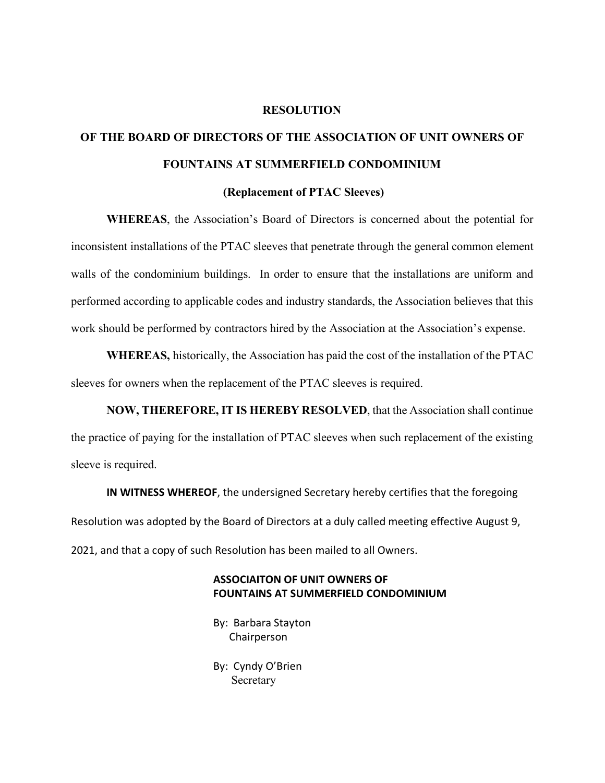#### **RESOLUTION**

# **OF THE BOARD OF DIRECTORS OF THE ASSOCIATION OF UNIT OWNERS OF FOUNTAINS AT SUMMERFIELD CONDOMINIUM**

#### **(Replacement of PTAC Sleeves)**

**WHEREAS**, the Association's Board of Directors is concerned about the potential for inconsistent installations of the PTAC sleeves that penetrate through the general common element walls of the condominium buildings. In order to ensure that the installations are uniform and performed according to applicable codes and industry standards, the Association believes that this work should be performed by contractors hired by the Association at the Association's expense.

**WHEREAS,** historically, the Association has paid the cost of the installation of the PTAC sleeves for owners when the replacement of the PTAC sleeves is required.

**NOW, THEREFORE, IT IS HEREBY RESOLVED**, that the Association shall continue the practice of paying for the installation of PTAC sleeves when such replacement of the existing sleeve is required.

**IN WITNESS WHEREOF**, the undersigned Secretary hereby certifies that the foregoing Resolution was adopted by the Board of Directors at a duly called meeting effective August 9, 2021, and that a copy of such Resolution has been mailed to all Owners.

#### **ASSOCIAITON OF UNIT OWNERS OF FOUNTAINS AT SUMMERFIELD CONDOMINIUM**

By: Barbara Stayton Chairperson

By: Cyndy O'Brien Secretary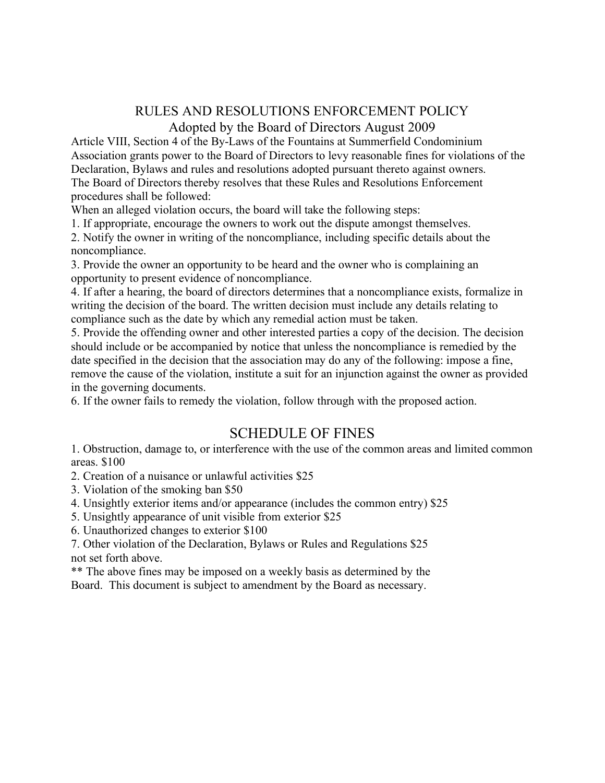# RULES AND RESOLUTIONS ENFORCEMENT POLICY Adopted by the Board of Directors August 2009

Article VIII, Section 4 of the By-Laws of the Fountains at Summerfield Condominium Association grants power to the Board of Directors to levy reasonable fines for violations of the Declaration, Bylaws and rules and resolutions adopted pursuant thereto against owners. The Board of Directors thereby resolves that these Rules and Resolutions Enforcement procedures shall be followed:

When an alleged violation occurs, the board will take the following steps:

1. If appropriate, encourage the owners to work out the dispute amongst themselves.

2. Notify the owner in writing of the noncompliance, including specific details about the noncompliance.

3. Provide the owner an opportunity to be heard and the owner who is complaining an opportunity to present evidence of noncompliance.

4. If after a hearing, the board of directors determines that a noncompliance exists, formalize in writing the decision of the board. The written decision must include any details relating to compliance such as the date by which any remedial action must be taken.

5. Provide the offending owner and other interested parties a copy of the decision. The decision should include or be accompanied by notice that unless the noncompliance is remedied by the date specified in the decision that the association may do any of the following: impose a fine, remove the cause of the violation, institute a suit for an injunction against the owner as provided in the governing documents.

6. If the owner fails to remedy the violation, follow through with the proposed action.

# SCHEDULE OF FINES

1. Obstruction, damage to, or interference with the use of the common areas and limited common areas. \$100

2. Creation of a nuisance or unlawful activities \$25

- 3. Violation of the smoking ban \$50
- 4. Unsightly exterior items and/or appearance (includes the common entry) \$25
- 5. Unsightly appearance of unit visible from exterior \$25
- 6. Unauthorized changes to exterior \$100

7. Other violation of the Declaration, Bylaws or Rules and Regulations \$25 not set forth above.

\*\* The above fines may be imposed on a weekly basis as determined by the Board. This document is subject to amendment by the Board as necessary.